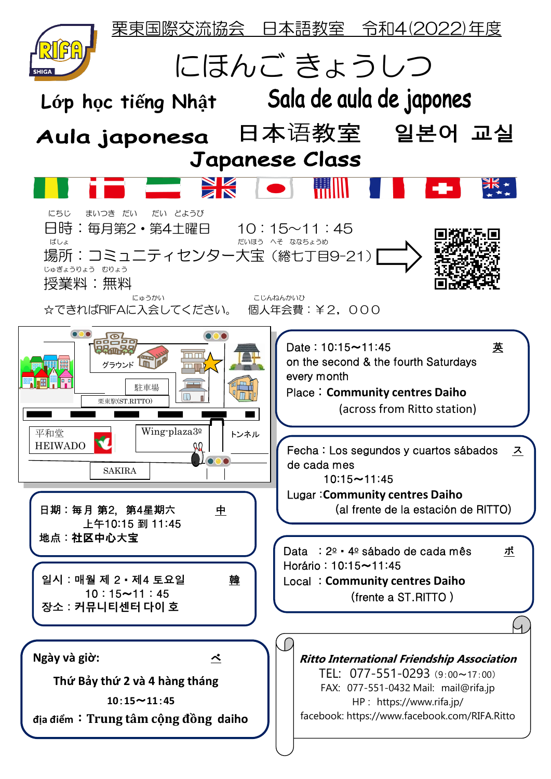栗東国際交流協会 日本語教室 令和4(2022)年度